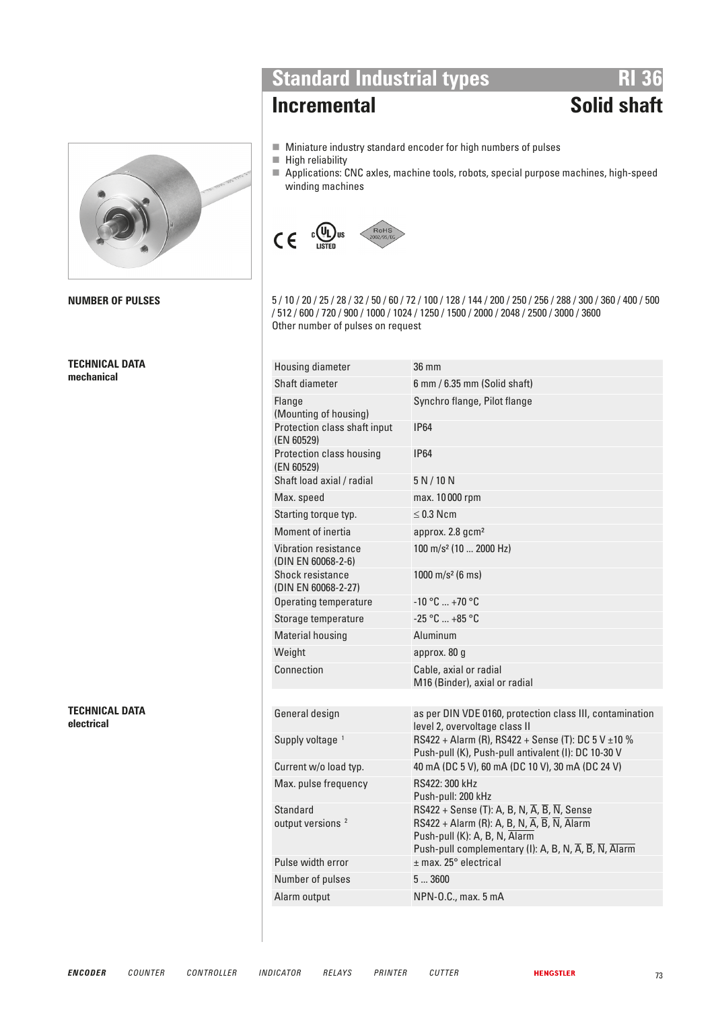

**TECHNICAL DATA mechanical** 

**TECHNICAL DATA electrical** 

# **Standard Industrial types**<br>**RI 36**<br>**RI 36**<br>**RI 36**

# **Incremental**

- $\blacksquare$  Miniature industry standard encoder for high numbers of pulses
- $\blacksquare$  High reliability
- Applications: CNC axles, machine tools, robots, special purpose machines, high-speed winding machines



**NUMBER OF PULSES** 5 / 10 / 20 / 25 / 28 / 32 / 50 / 60 / 72 / 100 / 128 / 144 / 200 / 250 / 256 / 288 / 300 / 360 / 400 / 500 / 512 / 600 / 720 / 900 / 1000 / 1024 / 1250 / 1500 / 2000 / 2048 / 2500 / 3000 / 3600 Other number of pulses on request

| Housing diameter                           | 36 mm                                                                                                                                                                                                                                                                 |
|--------------------------------------------|-----------------------------------------------------------------------------------------------------------------------------------------------------------------------------------------------------------------------------------------------------------------------|
| Shaft diameter                             | $6$ mm $/ 6.35$ mm (Solid shaft)                                                                                                                                                                                                                                      |
| Flange<br>(Mounting of housing)            | Synchro flange, Pilot flange                                                                                                                                                                                                                                          |
| Protection class shaft input<br>(EN 60529) | <b>IP64</b>                                                                                                                                                                                                                                                           |
| Protection class housing<br>(EN 60529)     | <b>IP64</b>                                                                                                                                                                                                                                                           |
| Shaft load axial / radial                  | 5 N/10 N                                                                                                                                                                                                                                                              |
| Max. speed                                 | max. 10000 rpm                                                                                                                                                                                                                                                        |
| Starting torque typ.                       | $\leq$ 0.3 Ncm                                                                                                                                                                                                                                                        |
| Moment of inertia                          | approx. 2.8 gcm <sup>2</sup>                                                                                                                                                                                                                                          |
| Vibration resistance<br>(DIN EN 60068-2-6) | 100 m/s <sup>2</sup> (10  2000 Hz)                                                                                                                                                                                                                                    |
| Shock resistance<br>(DIN EN 60068-2-27)    | 1000 m/s <sup>2</sup> (6 ms)                                                                                                                                                                                                                                          |
| Operating temperature                      | $-10$ °C  +70 °C                                                                                                                                                                                                                                                      |
| Storage temperature                        | $-25 °C  +85 °C$                                                                                                                                                                                                                                                      |
| <b>Material housing</b>                    | Aluminum                                                                                                                                                                                                                                                              |
| Weight                                     | approx. 80 g                                                                                                                                                                                                                                                          |
| Connection                                 | Cable, axial or radial<br>M16 (Binder), axial or radial                                                                                                                                                                                                               |
|                                            |                                                                                                                                                                                                                                                                       |
| General design                             | as per DIN VDE 0160, protection class III, contamination<br>level 2, overvoltage class II                                                                                                                                                                             |
| Supply voltage <sup>1</sup>                | RS422 + Alarm (R), RS422 + Sense (T): DC 5 V $\pm$ 10 %<br>Push-pull (K), Push-pull antivalent (I): DC 10-30 V                                                                                                                                                        |
| Current w/o load typ.                      | 40 mA (DC 5 V), 60 mA (DC 10 V), 30 mA (DC 24 V)                                                                                                                                                                                                                      |
| Max. pulse frequency                       | RS422: 300 kHz<br>Push-pull: 200 kHz                                                                                                                                                                                                                                  |
| Standard<br>output versions <sup>2</sup>   | RS422 + Sense (T): A, B, N, $\overline{A}$ , $\overline{B}$ , $\overline{N}$ , Sense<br>RS422 + Alarm (R): A, B, N, $\overline{A}$ , $\overline{B}$ , $\overline{N}$ , Alarm<br>Push-pull (K): A, B, N, Alarm<br>Push-pull complementary (I): A, B, N, A, B, N, Alarm |
| Pulse width error                          | $±$ max. 25 $^{\circ}$ electrical                                                                                                                                                                                                                                     |
| Number of pulses                           | 53600                                                                                                                                                                                                                                                                 |
| Alarm output                               | NPN-0.C., max. 5 mA                                                                                                                                                                                                                                                   |
|                                            |                                                                                                                                                                                                                                                                       |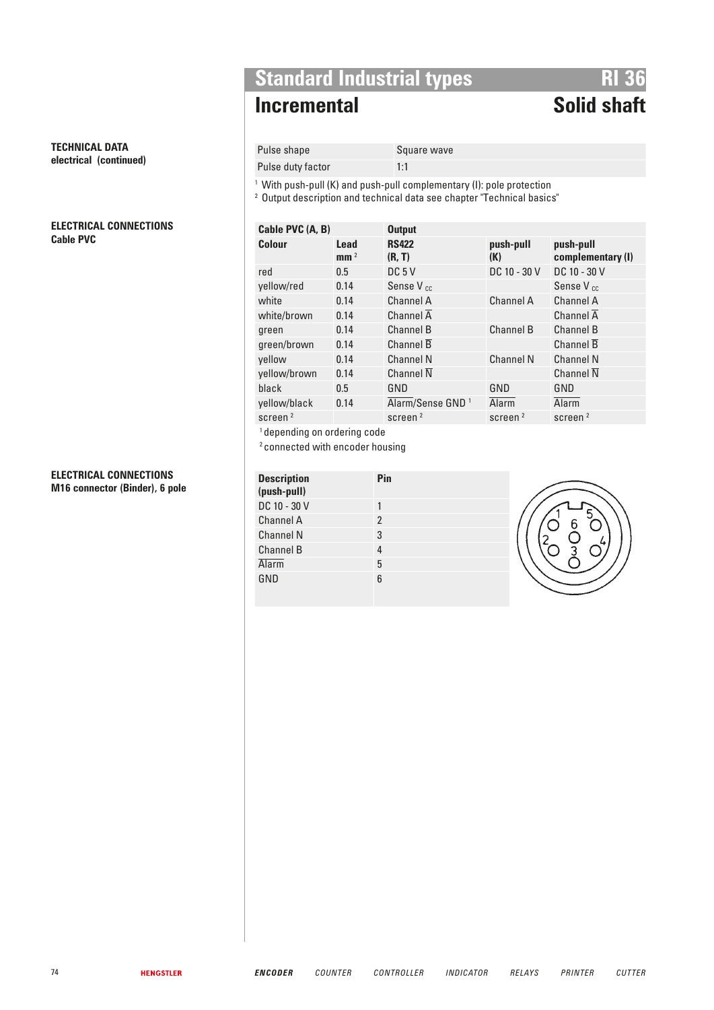## **TECHNICAL DATA electrical (continued)**

### **ELECTRICAL CONNECTIONS Cable PVC**

### **ELECTRICAL CONNECTIONS M16 connector (Binder), 6 pole**

# **Standard Industrial types**<br>**RI 36**<br>**RI 36**<br>**RI 36**

# **Incremental**

## Pulse shape Square wave

Pulse duty factor 1:1

<sup>1</sup> With push-pull (K) and push-pull complementary (I): pole protection

<sup>2</sup> Output description and technical data see chapter "Technical basics"

| (K)                 | push-pull<br>complementary (I) |
|---------------------|--------------------------------|
| DC 10 - 30 V        | DC 10 - 30 V                   |
|                     | Sense V <sub>cc</sub>          |
| <b>Channel A</b>    | Channel A                      |
|                     | Channel A                      |
| <b>Channel B</b>    | Channel B                      |
|                     | Channel B                      |
| <b>Channel N</b>    | <b>Channel N</b>               |
|                     | <b>Channel N</b>               |
| GND                 | GND                            |
| Alarm               | Alarm                          |
| screen <sup>2</sup> | screen <sup>2</sup>            |
|                     | push-pull                      |

<sup>1</sup> depending on ordering code

2 connected with encoder housing

| <b>Description</b><br>(push-pull) | Pin           |
|-----------------------------------|---------------|
| DC 10 - 30 V                      |               |
| <b>Channel A</b>                  | $\mathcal{P}$ |
| <b>Channel N</b>                  | 3             |
| <b>Channel B</b>                  | 4             |
| Alarm                             | 5             |
| GND                               | հ             |

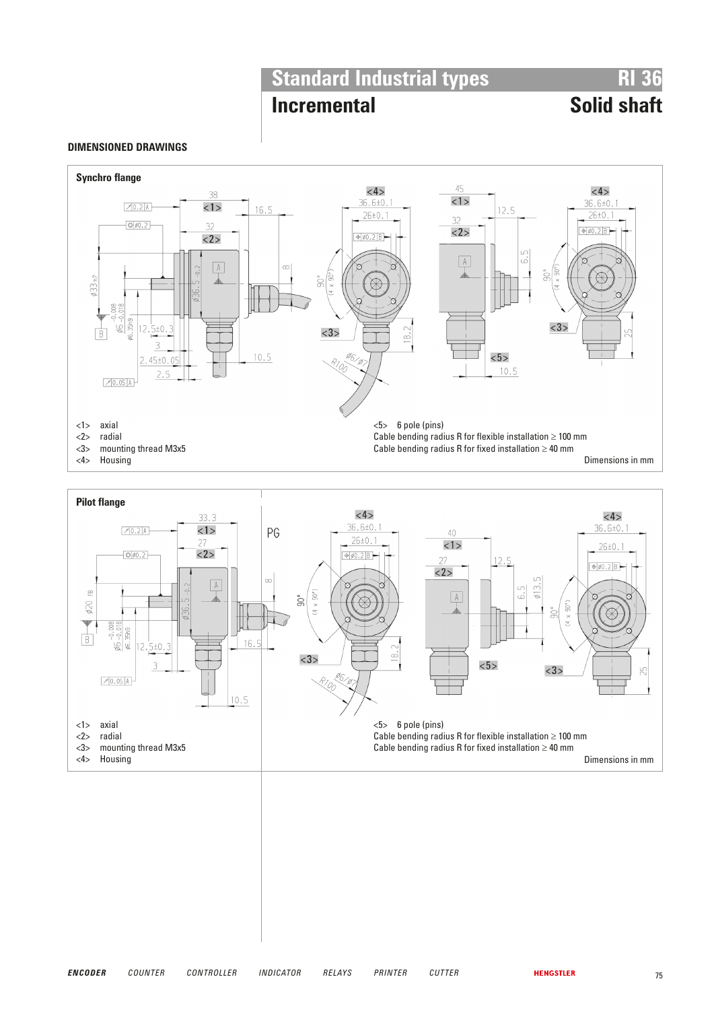# **Standard Industrial types**<br>**RI 36**<br>**RI 36**<br>**RI 36**

## **Incremental**

## **DIMENSIONED DRAWINGS**